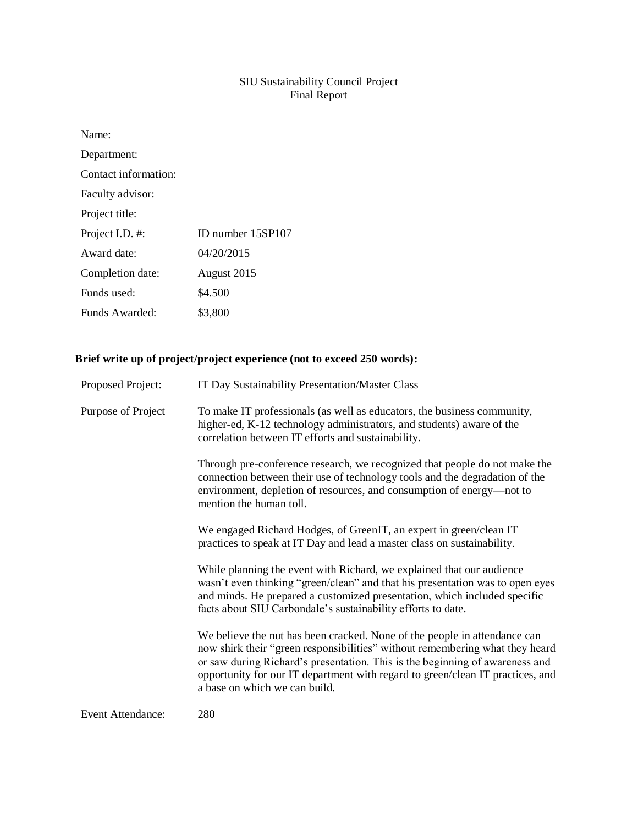## SIU Sustainability Council Project Final Report

| Name:                |                   |
|----------------------|-------------------|
| Department:          |                   |
| Contact information: |                   |
| Faculty advisor:     |                   |
| Project title:       |                   |
| Project I.D. #:      | ID number 15SP107 |
| Award date:          | 04/20/2015        |
| Completion date:     | August 2015       |
| Funds used:          | \$4.500           |
| Funds Awarded:       | \$3.800           |

# **Brief write up of project/project experience (not to exceed 250 words):**

| Proposed Project:        | IT Day Sustainability Presentation/Master Class                                                                                                                                                                                                                                                                                                              |
|--------------------------|--------------------------------------------------------------------------------------------------------------------------------------------------------------------------------------------------------------------------------------------------------------------------------------------------------------------------------------------------------------|
| Purpose of Project       | To make IT professionals (as well as educators, the business community,<br>higher-ed, K-12 technology administrators, and students) aware of the<br>correlation between IT efforts and sustainability.                                                                                                                                                       |
|                          | Through pre-conference research, we recognized that people do not make the<br>connection between their use of technology tools and the degradation of the<br>environment, depletion of resources, and consumption of energy-not to<br>mention the human toll.                                                                                                |
|                          | We engaged Richard Hodges, of GreenIT, an expert in green/clean IT<br>practices to speak at IT Day and lead a master class on sustainability.                                                                                                                                                                                                                |
|                          | While planning the event with Richard, we explained that our audience<br>wasn't even thinking "green/clean" and that his presentation was to open eyes<br>and minds. He prepared a customized presentation, which included specific<br>facts about SIU Carbondale's sustainability efforts to date.                                                          |
|                          | We believe the nut has been cracked. None of the people in attendance can<br>now shirk their "green responsibilities" without remembering what they heard<br>or saw during Richard's presentation. This is the beginning of awareness and<br>opportunity for our IT department with regard to green/clean IT practices, and<br>a base on which we can build. |
| <b>Event Attendance:</b> | 280                                                                                                                                                                                                                                                                                                                                                          |